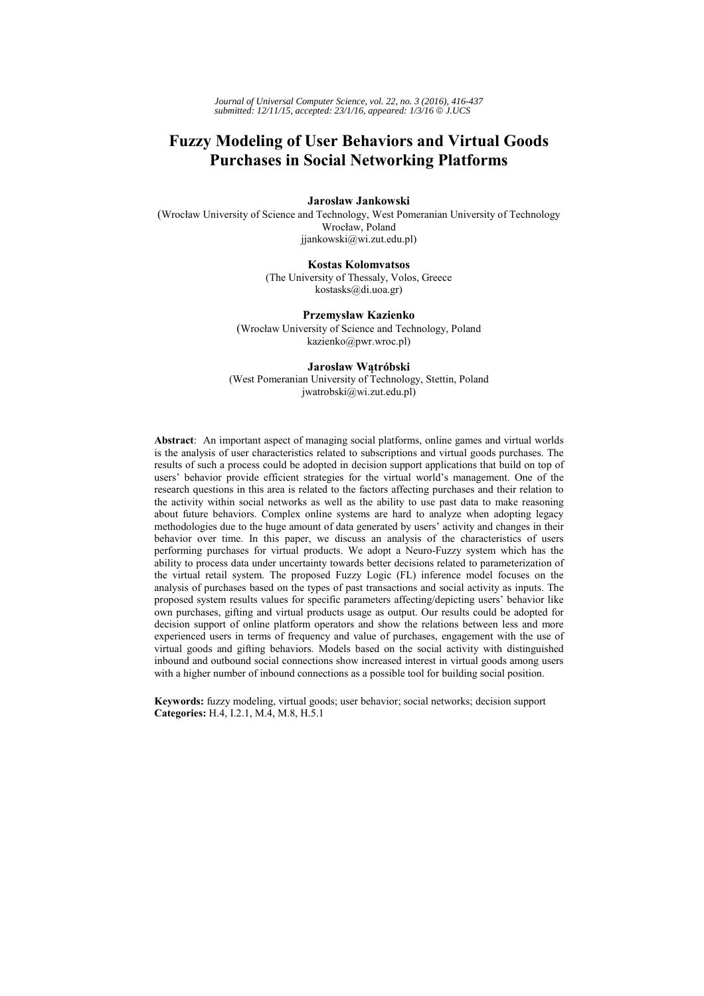*Journal of Universal Computer Science, vol. 22, no. 3 (2016), 416-437 submitted: 12/11/15, accepted: 23/1/16, appeared: 1/3/16* © *J.UCS*

# **Fuzzy Modeling of User Behaviors and Virtual Goods Purchases in Social Networking Platforms**

#### **Jarosław Jankowski**

(Wrocław University of Science and Technology, West Pomeranian University of Technology Wrocław, Poland jjankowski@wi.zut.edu.pl)

#### **Kostas Kolomvatsos**

(The University of Thessaly, Volos, Greece kostasks@di.uoa.gr)

#### **Przemysław Kazienko**

(Wrocław University of Science and Technology, Poland kazienko@pwr.wroc.pl)

#### **Jarosław Wątróbski**

(West Pomeranian University of Technology, Stettin, Poland jwatrobski@wi.zut.edu.pl)

**Abstract**: An important aspect of managing social platforms, online games and virtual worlds is the analysis of user characteristics related to subscriptions and virtual goods purchases. The results of such a process could be adopted in decision support applications that build on top of users' behavior provide efficient strategies for the virtual world's management. One of the research questions in this area is related to the factors affecting purchases and their relation to the activity within social networks as well as the ability to use past data to make reasoning about future behaviors. Complex online systems are hard to analyze when adopting legacy methodologies due to the huge amount of data generated by users' activity and changes in their behavior over time. In this paper, we discuss an analysis of the characteristics of users performing purchases for virtual products. We adopt a Neuro-Fuzzy system which has the ability to process data under uncertainty towards better decisions related to parameterization of the virtual retail system. The proposed Fuzzy Logic (FL) inference model focuses on the analysis of purchases based on the types of past transactions and social activity as inputs. The proposed system results values for specific parameters affecting/depicting users' behavior like own purchases, gifting and virtual products usage as output. Our results could be adopted for decision support of online platform operators and show the relations between less and more experienced users in terms of frequency and value of purchases, engagement with the use of virtual goods and gifting behaviors. Models based on the social activity with distinguished inbound and outbound social connections show increased interest in virtual goods among users with a higher number of inbound connections as a possible tool for building social position.

**Keywords:** fuzzy modeling, virtual goods; user behavior; social networks; decision support **Categories:** H.4, I.2.1, M.4, M.8, H.5.1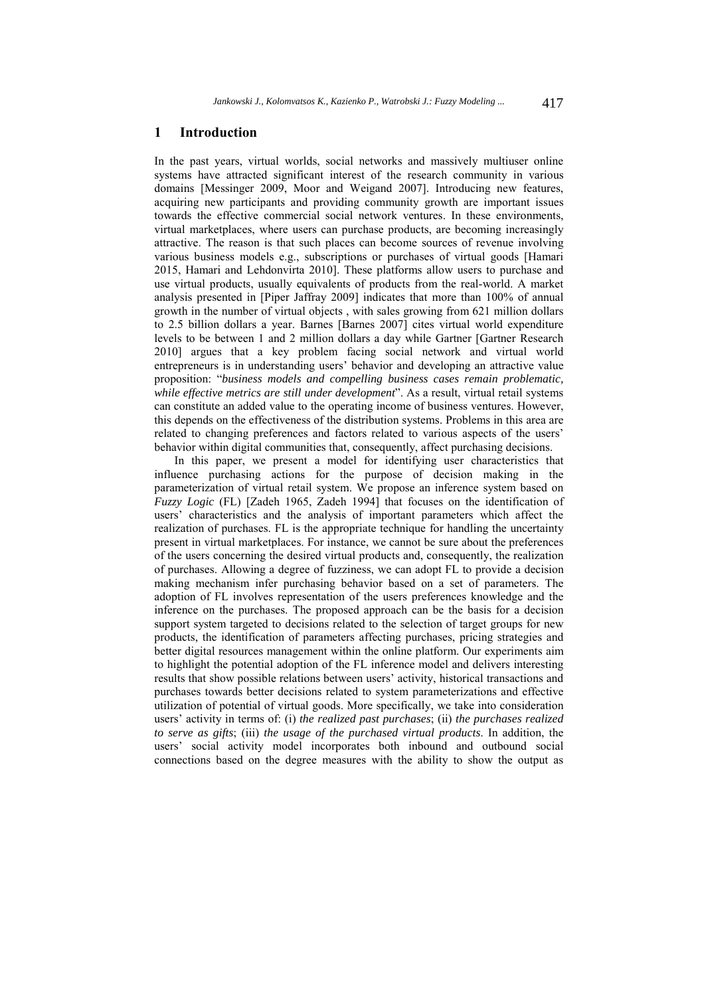## **1 Introduction**

In the past years, virtual worlds, social networks and massively multiuser online systems have attracted significant interest of the research community in various domains [Messinger 2009, Moor and Weigand 2007]. Introducing new features, acquiring new participants and providing community growth are important issues towards the effective commercial social network ventures. In these environments, virtual marketplaces, where users can purchase products, are becoming increasingly attractive. The reason is that such places can become sources of revenue involving various business models e.g., subscriptions or purchases of virtual goods [Hamari 2015, Hamari and Lehdonvirta 2010]. These platforms allow users to purchase and use virtual products, usually equivalents of products from the real-world. A market analysis presented in [Piper Jaffray 2009] indicates that more than 100% of annual growth in the number of virtual objects , with sales growing from 621 million dollars to 2.5 billion dollars a year. Barnes [Barnes 2007] cites virtual world expenditure levels to be between 1 and 2 million dollars a day while Gartner [Gartner Research 2010] argues that a key problem facing social network and virtual world entrepreneurs is in understanding users' behavior and developing an attractive value proposition: "*business models and compelling business cases remain problematic, while effective metrics are still under development*". As a result, virtual retail systems can constitute an added value to the operating income of business ventures. However, this depends on the effectiveness of the distribution systems. Problems in this area are related to changing preferences and factors related to various aspects of the users' behavior within digital communities that, consequently, affect purchasing decisions.

In this paper, we present a model for identifying user characteristics that influence purchasing actions for the purpose of decision making in the parameterization of virtual retail system. We propose an inference system based on *Fuzzy Logic* (FL) [Zadeh 1965, Zadeh 1994] that focuses on the identification of users' characteristics and the analysis of important parameters which affect the realization of purchases. FL is the appropriate technique for handling the uncertainty present in virtual marketplaces. For instance, we cannot be sure about the preferences of the users concerning the desired virtual products and, consequently, the realization of purchases. Allowing a degree of fuzziness, we can adopt FL to provide a decision making mechanism infer purchasing behavior based on a set of parameters. The adoption of FL involves representation of the users preferences knowledge and the inference on the purchases. The proposed approach can be the basis for a decision support system targeted to decisions related to the selection of target groups for new products, the identification of parameters affecting purchases, pricing strategies and better digital resources management within the online platform. Our experiments aim to highlight the potential adoption of the FL inference model and delivers interesting results that show possible relations between users' activity, historical transactions and purchases towards better decisions related to system parameterizations and effective utilization of potential of virtual goods. More specifically, we take into consideration users' activity in terms of: (i) *the realized past purchases*; (ii) *the purchases realized to serve as gifts*; (iii) *the usage of the purchased virtual products*. In addition, the users' social activity model incorporates both inbound and outbound social connections based on the degree measures with the ability to show the output as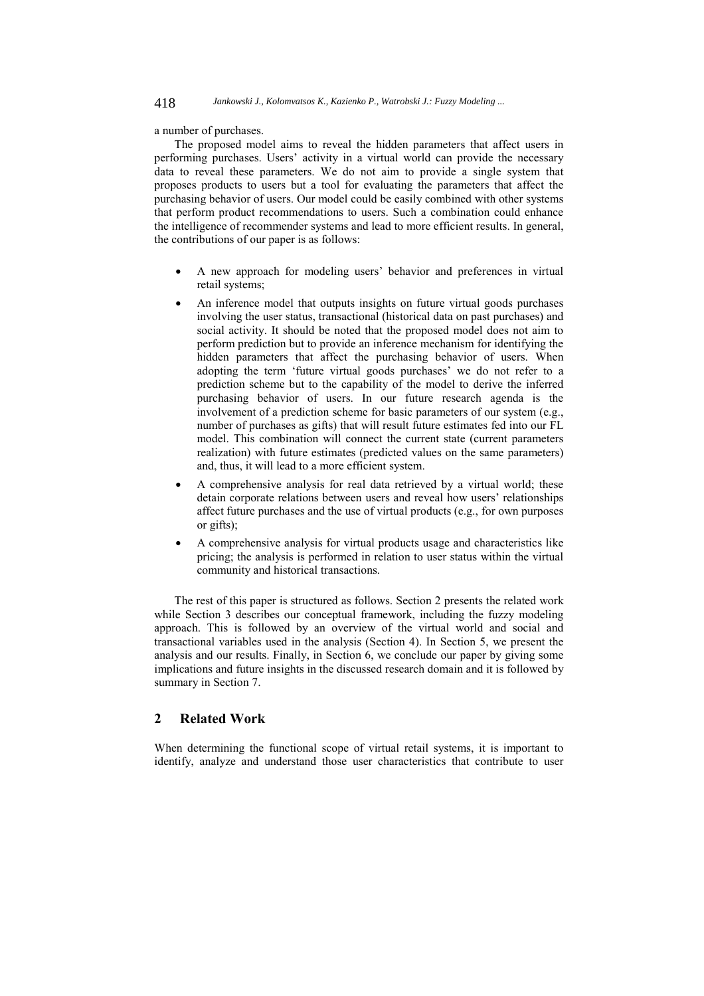a number of purchases.

The proposed model aims to reveal the hidden parameters that affect users in performing purchases. Users' activity in a virtual world can provide the necessary data to reveal these parameters. We do not aim to provide a single system that proposes products to users but a tool for evaluating the parameters that affect the purchasing behavior of users. Our model could be easily combined with other systems that perform product recommendations to users. Such a combination could enhance the intelligence of recommender systems and lead to more efficient results. In general, the contributions of our paper is as follows:

- A new approach for modeling users' behavior and preferences in virtual retail systems;
- An inference model that outputs insights on future virtual goods purchases involving the user status, transactional (historical data on past purchases) and social activity. It should be noted that the proposed model does not aim to perform prediction but to provide an inference mechanism for identifying the hidden parameters that affect the purchasing behavior of users. When adopting the term 'future virtual goods purchases' we do not refer to a prediction scheme but to the capability of the model to derive the inferred purchasing behavior of users. In our future research agenda is the involvement of a prediction scheme for basic parameters of our system (e.g., number of purchases as gifts) that will result future estimates fed into our FL model. This combination will connect the current state (current parameters realization) with future estimates (predicted values on the same parameters) and, thus, it will lead to a more efficient system.
- A comprehensive analysis for real data retrieved by a virtual world; these detain corporate relations between users and reveal how users' relationships affect future purchases and the use of virtual products (e.g., for own purposes or gifts);
- A comprehensive analysis for virtual products usage and characteristics like pricing; the analysis is performed in relation to user status within the virtual community and historical transactions.

The rest of this paper is structured as follows. Section 2 presents the related work while Section 3 describes our conceptual framework, including the fuzzy modeling approach. This is followed by an overview of the virtual world and social and transactional variables used in the analysis (Section 4). In Section 5, we present the analysis and our results. Finally, in Section 6, we conclude our paper by giving some implications and future insights in the discussed research domain and it is followed by summary in Section 7.

## **2 Related Work**

When determining the functional scope of virtual retail systems, it is important to identify, analyze and understand those user characteristics that contribute to user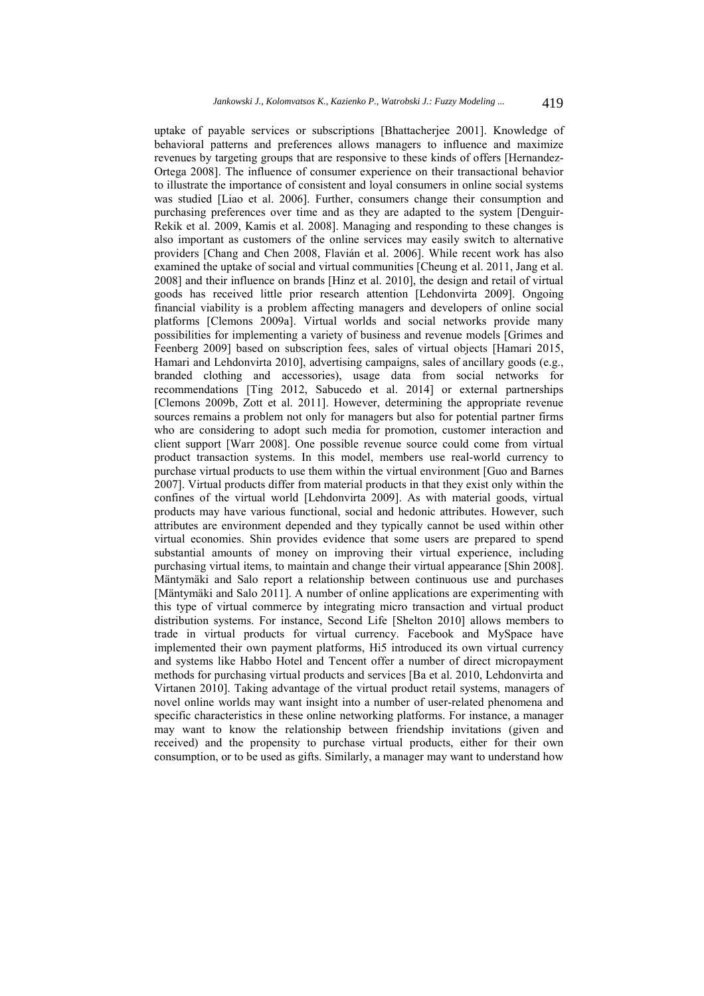uptake of payable services or subscriptions [Bhattacherjee 2001]. Knowledge of behavioral patterns and preferences allows managers to influence and maximize revenues by targeting groups that are responsive to these kinds of offers [Hernandez-Ortega 2008]. The influence of consumer experience on their transactional behavior to illustrate the importance of consistent and loyal consumers in online social systems was studied [Liao et al. 2006]. Further, consumers change their consumption and purchasing preferences over time and as they are adapted to the system [Denguir-Rekik et al. 2009, Kamis et al. 2008]. Managing and responding to these changes is also important as customers of the online services may easily switch to alternative providers [Chang and Chen 2008, Flavián et al. 2006]. While recent work has also examined the uptake of social and virtual communities [Cheung et al. 2011, Jang et al. 2008] and their influence on brands [Hinz et al. 2010], the design and retail of virtual goods has received little prior research attention [Lehdonvirta 2009]. Ongoing financial viability is a problem affecting managers and developers of online social platforms [Clemons 2009a]. Virtual worlds and social networks provide many possibilities for implementing a variety of business and revenue models [Grimes and Feenberg 2009] based on subscription fees, sales of virtual objects [Hamari 2015, Hamari and Lehdonvirta 2010], advertising campaigns, sales of ancillary goods (e.g., branded clothing and accessories), usage data from social networks for recommendations [Ting 2012, Sabucedo et al. 2014] or external partnerships [Clemons 2009b, Zott et al. 2011]. However, determining the appropriate revenue sources remains a problem not only for managers but also for potential partner firms who are considering to adopt such media for promotion, customer interaction and client support [Warr 2008]. One possible revenue source could come from virtual product transaction systems. In this model, members use real-world currency to purchase virtual products to use them within the virtual environment [Guo and Barnes 2007]. Virtual products differ from material products in that they exist only within the confines of the virtual world [Lehdonvirta 2009]. As with material goods, virtual products may have various functional, social and hedonic attributes. However, such attributes are environment depended and they typically cannot be used within other virtual economies. Shin provides evidence that some users are prepared to spend substantial amounts of money on improving their virtual experience, including purchasing virtual items, to maintain and change their virtual appearance [Shin 2008]. Mäntymäki and Salo report a relationship between continuous use and purchases [Mäntymäki and Salo 2011]. A number of online applications are experimenting with this type of virtual commerce by integrating micro transaction and virtual product distribution systems. For instance, Second Life [Shelton 2010] allows members to trade in virtual products for virtual currency. Facebook and MySpace have implemented their own payment platforms, Hi5 introduced its own virtual currency and systems like Habbo Hotel and Tencent offer a number of direct micropayment methods for purchasing virtual products and services [Ba et al. 2010, Lehdonvirta and Virtanen 2010]. Taking advantage of the virtual product retail systems, managers of novel online worlds may want insight into a number of user-related phenomena and specific characteristics in these online networking platforms. For instance, a manager may want to know the relationship between friendship invitations (given and received) and the propensity to purchase virtual products, either for their own consumption, or to be used as gifts. Similarly, a manager may want to understand how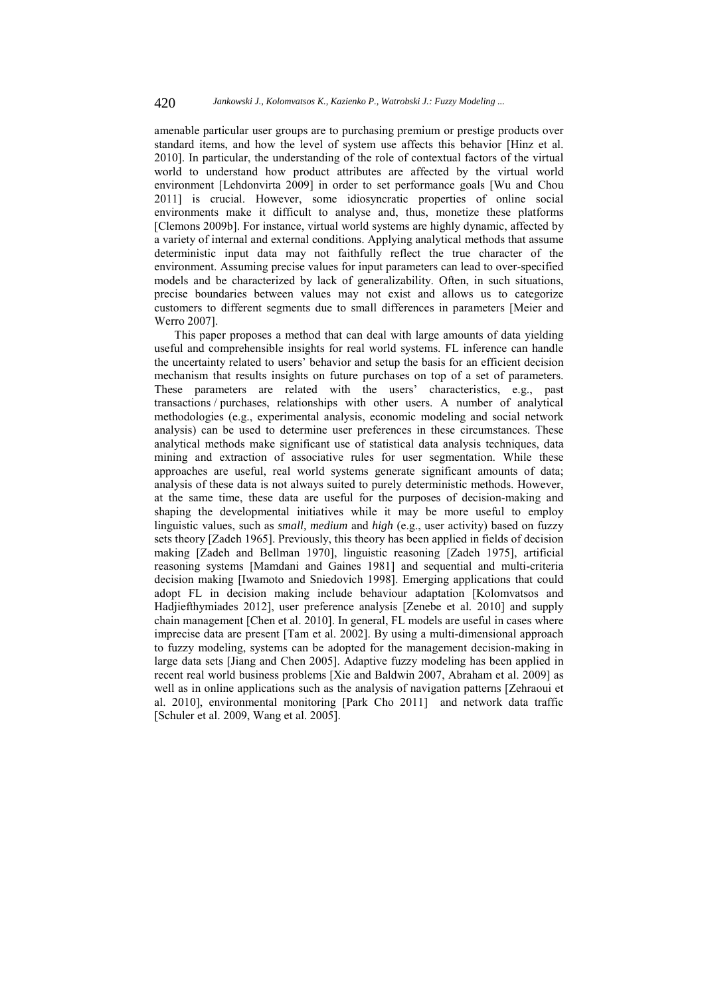amenable particular user groups are to purchasing premium or prestige products over standard items, and how the level of system use affects this behavior [Hinz et al. 2010]. In particular, the understanding of the role of contextual factors of the virtual world to understand how product attributes are affected by the virtual world environment [Lehdonvirta 2009] in order to set performance goals [Wu and Chou 2011] is crucial. However, some idiosyncratic properties of online social environments make it difficult to analyse and, thus, monetize these platforms [Clemons 2009b]. For instance, virtual world systems are highly dynamic, affected by a variety of internal and external conditions. Applying analytical methods that assume deterministic input data may not faithfully reflect the true character of the environment. Assuming precise values for input parameters can lead to over-specified models and be characterized by lack of generalizability. Often, in such situations, precise boundaries between values may not exist and allows us to categorize customers to different segments due to small differences in parameters [Meier and Werro 2007].

This paper proposes a method that can deal with large amounts of data yielding useful and comprehensible insights for real world systems. FL inference can handle the uncertainty related to users' behavior and setup the basis for an efficient decision mechanism that results insights on future purchases on top of a set of parameters. These parameters are related with the users' characteristics, e.g., past transactions / purchases, relationships with other users. A number of analytical methodologies (e.g., experimental analysis, economic modeling and social network analysis) can be used to determine user preferences in these circumstances. These analytical methods make significant use of statistical data analysis techniques, data mining and extraction of associative rules for user segmentation. While these approaches are useful, real world systems generate significant amounts of data; analysis of these data is not always suited to purely deterministic methods. However, at the same time, these data are useful for the purposes of decision-making and shaping the developmental initiatives while it may be more useful to employ linguistic values, such as *small, medium* and *high* (e.g., user activity) based on fuzzy sets theory [Zadeh 1965]. Previously, this theory has been applied in fields of decision making [Zadeh and Bellman 1970], linguistic reasoning [Zadeh 1975], artificial reasoning systems [Mamdani and Gaines 1981] and sequential and multi-criteria decision making [Iwamoto and Sniedovich 1998]. Emerging applications that could adopt FL in decision making include behaviour adaptation [Kolomvatsos and Hadjiefthymiades 2012], user preference analysis [Zenebe et al. 2010] and supply chain management [Chen et al. 2010]. In general, FL models are useful in cases where imprecise data are present [Tam et al. 2002]. By using a multi-dimensional approach to fuzzy modeling, systems can be adopted for the management decision-making in large data sets [Jiang and Chen 2005]. Adaptive fuzzy modeling has been applied in recent real world business problems [Xie and Baldwin 2007, Abraham et al. 2009] as well as in online applications such as the analysis of navigation patterns [Zehraoui et al. 2010], environmental monitoring [Park Cho 2011] and network data traffic [Schuler et al. 2009, Wang et al. 2005].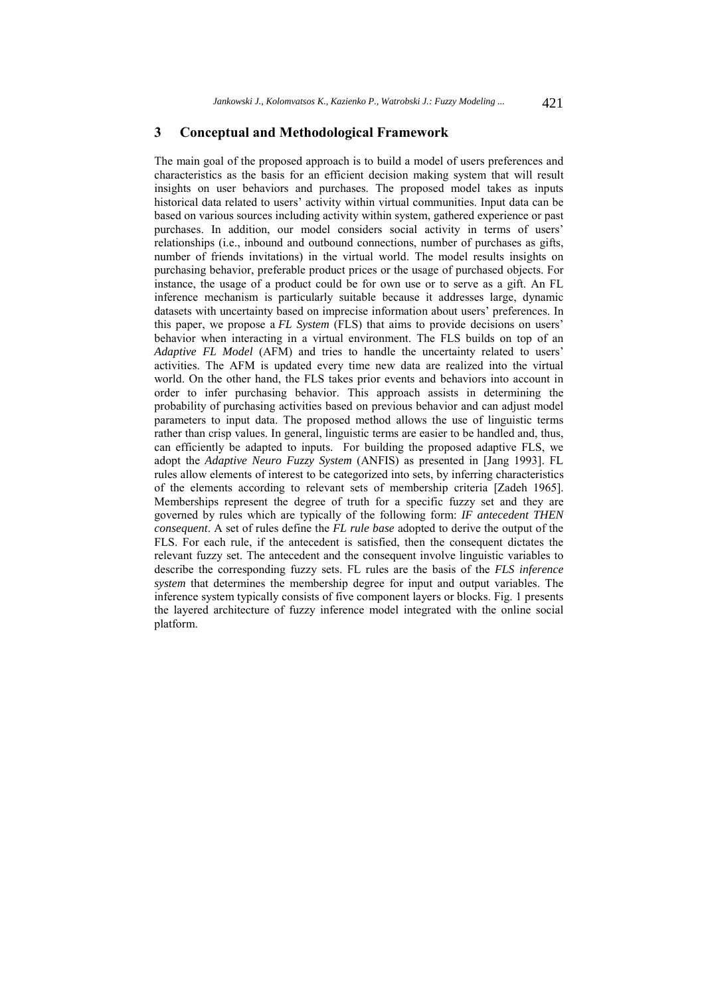## **3 Conceptual and Methodological Framework**

The main goal of the proposed approach is to build a model of users preferences and characteristics as the basis for an efficient decision making system that will result insights on user behaviors and purchases. The proposed model takes as inputs historical data related to users' activity within virtual communities. Input data can be based on various sources including activity within system, gathered experience or past purchases. In addition, our model considers social activity in terms of users' relationships (i.e., inbound and outbound connections, number of purchases as gifts, number of friends invitations) in the virtual world. The model results insights on purchasing behavior, preferable product prices or the usage of purchased objects. For instance, the usage of a product could be for own use or to serve as a gift. An FL inference mechanism is particularly suitable because it addresses large, dynamic datasets with uncertainty based on imprecise information about users' preferences. In this paper, we propose a *FL System* (FLS) that aims to provide decisions on users' behavior when interacting in a virtual environment. The FLS builds on top of an *Adaptive FL Model* (AFM) and tries to handle the uncertainty related to users' activities. The AFM is updated every time new data are realized into the virtual world. On the other hand, the FLS takes prior events and behaviors into account in order to infer purchasing behavior. This approach assists in determining the probability of purchasing activities based on previous behavior and can adjust model parameters to input data. The proposed method allows the use of linguistic terms rather than crisp values. In general, linguistic terms are easier to be handled and, thus, can efficiently be adapted to inputs. For building the proposed adaptive FLS, we adopt the *Adaptive Neuro Fuzzy System* (ANFIS) as presented in [Jang 1993]. FL rules allow elements of interest to be categorized into sets, by inferring characteristics of the elements according to relevant sets of membership criteria [Zadeh 1965]. Memberships represent the degree of truth for a specific fuzzy set and they are governed by rules which are typically of the following form: *IF antecedent THEN consequent*. A set of rules define the *FL rule base* adopted to derive the output of the FLS. For each rule, if the antecedent is satisfied, then the consequent dictates the relevant fuzzy set. The antecedent and the consequent involve linguistic variables to describe the corresponding fuzzy sets. FL rules are the basis of the *FLS inference system* that determines the membership degree for input and output variables. The inference system typically consists of five component layers or blocks. Fig. 1 presents the layered architecture of fuzzy inference model integrated with the online social platform.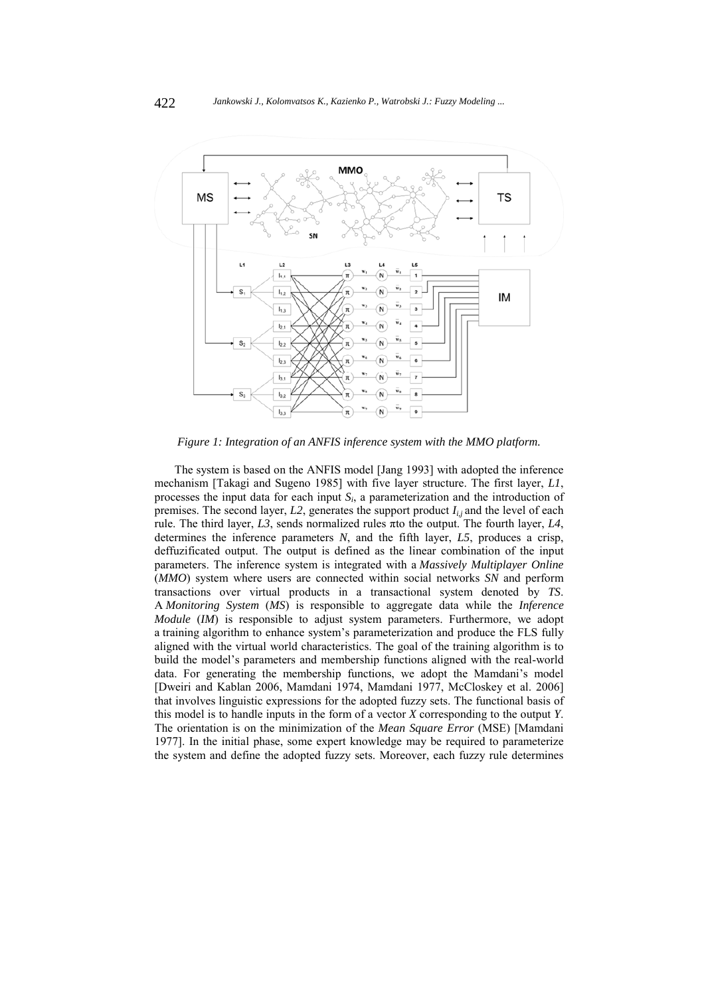

*Figure 1: Integration of an ANFIS inference system with the MMO platform.* 

The system is based on the ANFIS model [Jang 1993] with adopted the inference mechanism [Takagi and Sugeno 1985] with five layer structure. The first layer, *L1*, processes the input data for each input *Si*, a parameterization and the introduction of premises. The second layer,  $L2$ , generates the support product  $I_{i,j}$  and the level of each rule. The third layer, *L3*, sends normalized rules πto the output. The fourth layer, *L4*, determines the inference parameters *N*, and the fifth layer, *L5*, produces a crisp, deffuzificated output. The output is defined as the linear combination of the input parameters. The inference system is integrated with a *Massively Multiplayer Online* (*MMO*) system where users are connected within social networks *SN* and perform transactions over virtual products in a transactional system denoted by *TS*. A *Monitoring System* (*MS*) is responsible to aggregate data while the *Inference Module* (*IM*) is responsible to adjust system parameters. Furthermore, we adopt a training algorithm to enhance system's parameterization and produce the FLS fully aligned with the virtual world characteristics. The goal of the training algorithm is to build the model's parameters and membership functions aligned with the real-world data. For generating the membership functions, we adopt the Mamdani's model [Dweiri and Kablan 2006, Mamdani 1974, Mamdani 1977, McCloskey et al. 2006] that involves linguistic expressions for the adopted fuzzy sets. The functional basis of this model is to handle inputs in the form of a vector *X* corresponding to the output *Y*. The orientation is on the minimization of the *Mean Square Error* (MSE) [Mamdani 1977]. In the initial phase, some expert knowledge may be required to parameterize the system and define the adopted fuzzy sets. Moreover, each fuzzy rule determines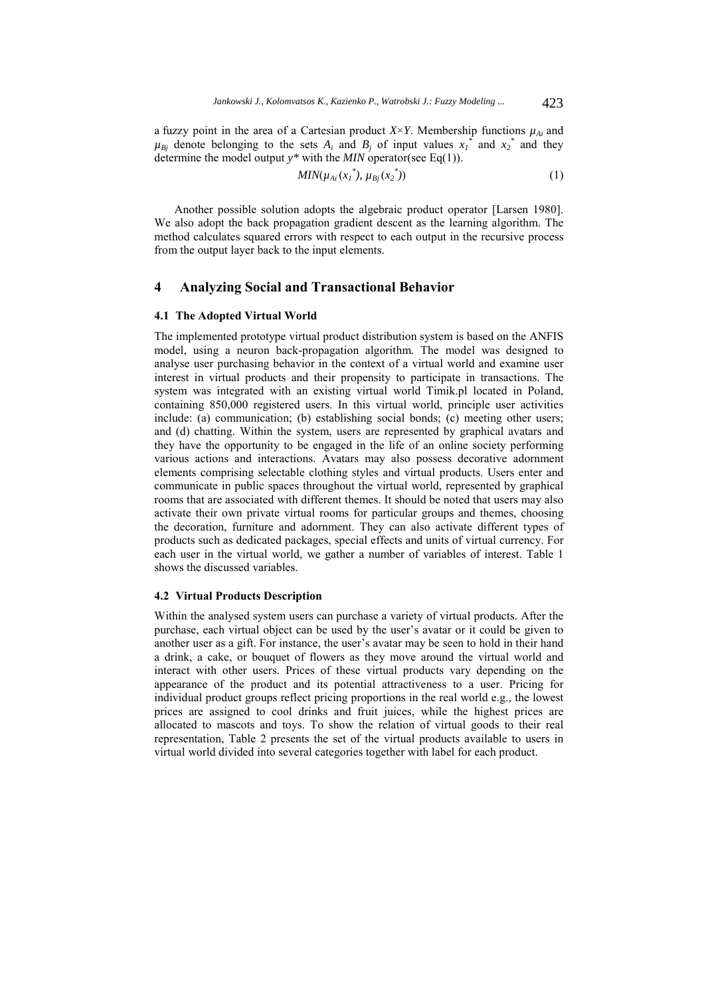a fuzzy point in the area of a Cartesian product  $X \times Y$ . Membership functions  $\mu_{Ai}$  and  $\mu_{Bj}$  denote belonging to the sets  $A_i$  and  $B_j$  of input values  $x_i$ <sup>\*</sup> and  $x_2$ <sup>\*</sup> and they determine the model output *y\** with the *MIN* operator(see Eq(1)).

$$
MIN(\mu_{Ai}(x_1^*), \mu_{Bj}(x_2^*))
$$
 (1)

Another possible solution adopts the algebraic product operator [Larsen 1980]. We also adopt the back propagation gradient descent as the learning algorithm. The method calculates squared errors with respect to each output in the recursive process from the output layer back to the input elements.

## **4 Analyzing Social and Transactional Behavior**

### **4.1 The Adopted Virtual World**

The implemented prototype virtual product distribution system is based on the ANFIS model, using a neuron back-propagation algorithm. The model was designed to analyse user purchasing behavior in the context of a virtual world and examine user interest in virtual products and their propensity to participate in transactions. The system was integrated with an existing virtual world Timik.pl located in Poland, containing 850,000 registered users. In this virtual world, principle user activities include: (a) communication; (b) establishing social bonds; (c) meeting other users; and (d) chatting. Within the system, users are represented by graphical avatars and they have the opportunity to be engaged in the life of an online society performing various actions and interactions. Avatars may also possess decorative adornment elements comprising selectable clothing styles and virtual products. Users enter and communicate in public spaces throughout the virtual world, represented by graphical rooms that are associated with different themes. It should be noted that users may also activate their own private virtual rooms for particular groups and themes, choosing the decoration, furniture and adornment. They can also activate different types of products such as dedicated packages, special effects and units of virtual currency. For each user in the virtual world, we gather a number of variables of interest. Table 1 shows the discussed variables.

#### **4.2 Virtual Products Description**

Within the analysed system users can purchase a variety of virtual products. After the purchase, each virtual object can be used by the user's avatar or it could be given to another user as a gift. For instance, the user's avatar may be seen to hold in their hand a drink, a cake, or bouquet of flowers as they move around the virtual world and interact with other users. Prices of these virtual products vary depending on the appearance of the product and its potential attractiveness to a user. Pricing for individual product groups reflect pricing proportions in the real world e.g., the lowest prices are assigned to cool drinks and fruit juices, while the highest prices are allocated to mascots and toys. To show the relation of virtual goods to their real representation, Table 2 presents the set of the virtual products available to users in virtual world divided into several categories together with label for each product.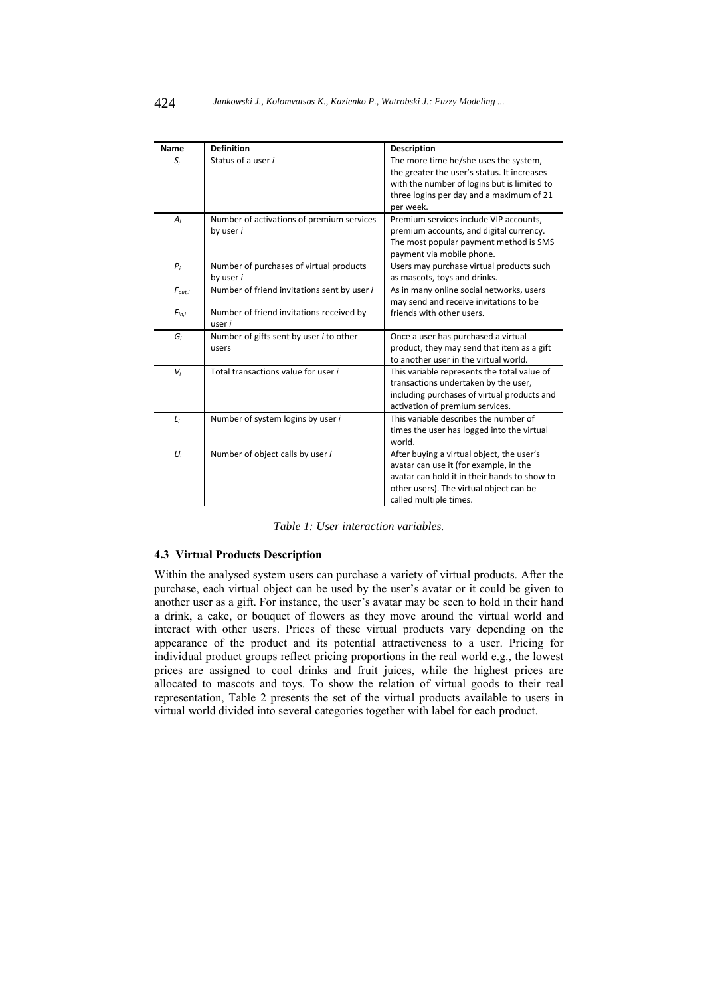| Name        | <b>Definition</b>                           | <b>Description</b>                           |  |  |
|-------------|---------------------------------------------|----------------------------------------------|--|--|
| $S_i$       | Status of a user i                          | The more time he/she uses the system,        |  |  |
|             |                                             | the greater the user's status. It increases  |  |  |
|             |                                             | with the number of logins but is limited to  |  |  |
|             |                                             | three logins per day and a maximum of 21     |  |  |
|             |                                             | per week.                                    |  |  |
| $A_i$       | Number of activations of premium services   | Premium services include VIP accounts,       |  |  |
|             | by user i                                   | premium accounts, and digital currency.      |  |  |
|             |                                             | The most popular payment method is SMS       |  |  |
|             |                                             | payment via mobile phone.                    |  |  |
| $P_i$       | Number of purchases of virtual products     | Users may purchase virtual products such     |  |  |
|             | by user i                                   | as mascots, toys and drinks.                 |  |  |
| $F_{out,i}$ | Number of friend invitations sent by user i | As in many online social networks, users     |  |  |
|             |                                             | may send and receive invitations to be       |  |  |
| $F_{in,i}$  | Number of friend invitations received by    | friends with other users.                    |  |  |
|             | user i                                      |                                              |  |  |
| G,          | Number of gifts sent by user i to other     | Once a user has purchased a virtual          |  |  |
|             | users                                       | product, they may send that item as a gift   |  |  |
|             |                                             | to another user in the virtual world.        |  |  |
| $V_i$       | Total transactions value for user i         | This variable represents the total value of  |  |  |
|             |                                             | transactions undertaken by the user,         |  |  |
|             |                                             | including purchases of virtual products and  |  |  |
|             |                                             | activation of premium services.              |  |  |
| $L_i$       | Number of system logins by user i           | This variable describes the number of        |  |  |
|             |                                             | times the user has logged into the virtual   |  |  |
|             |                                             | world.                                       |  |  |
| $U_i$       | Number of object calls by user i            | After buying a virtual object, the user's    |  |  |
|             |                                             | avatar can use it (for example, in the       |  |  |
|             |                                             | avatar can hold it in their hands to show to |  |  |
|             |                                             | other users). The virtual object can be      |  |  |
|             |                                             | called multiple times.                       |  |  |

*Table 1: User interaction variables.* 

## **4.3 Virtual Products Description**

Within the analysed system users can purchase a variety of virtual products. After the purchase, each virtual object can be used by the user's avatar or it could be given to another user as a gift. For instance, the user's avatar may be seen to hold in their hand a drink, a cake, or bouquet of flowers as they move around the virtual world and interact with other users. Prices of these virtual products vary depending on the appearance of the product and its potential attractiveness to a user. Pricing for individual product groups reflect pricing proportions in the real world e.g., the lowest prices are assigned to cool drinks and fruit juices, while the highest prices are allocated to mascots and toys. To show the relation of virtual goods to their real representation, Table 2 presents the set of the virtual products available to users in virtual world divided into several categories together with label for each product.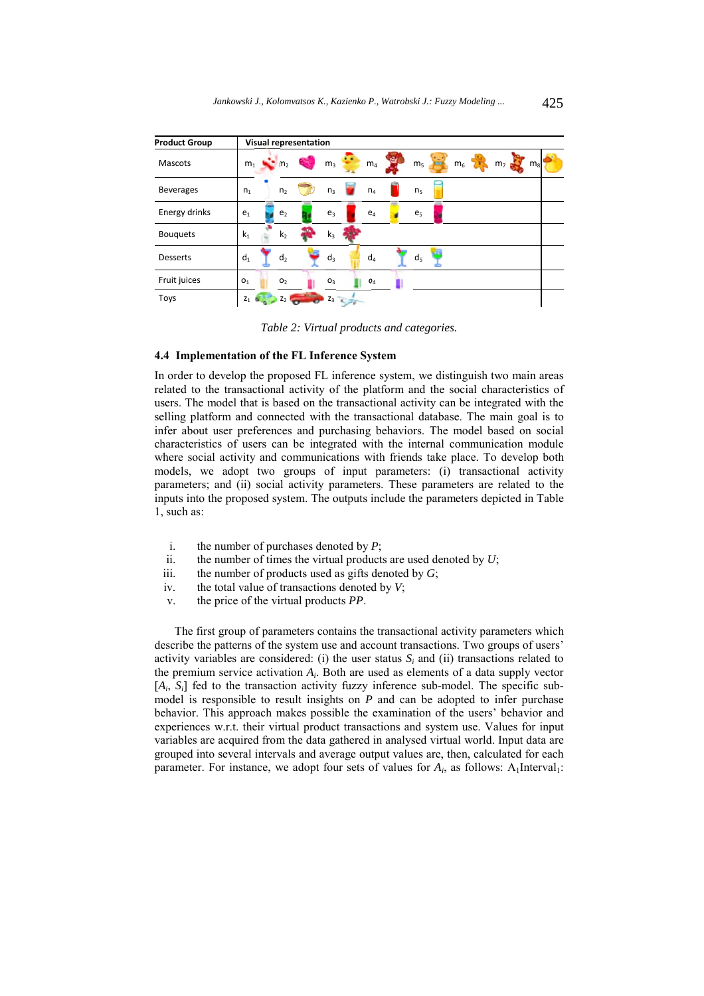| <b>Product Group</b> | Visual representation                                                                                                                     |
|----------------------|-------------------------------------------------------------------------------------------------------------------------------------------|
| <b>Mascots</b>       | р.<br>$\mathbf{m}_2$<br>m <sub>5</sub><br>m <sub>6</sub><br>$m_1$<br>m <sub>7</sub><br>m <sub>8</sub><br>m <sub>4</sub><br>m <sub>3</sub> |
| <b>Beverages</b>     | n <sub>2</sub><br>$n_4$<br>n <sub>3</sub><br>n <sub>1</sub><br>n <sub>5</sub>                                                             |
| Energy drinks        | e <sub>1</sub><br>e <sub>3</sub><br>e <sub>2</sub><br>$e_4$<br>e <sub>5</sub>                                                             |
| <b>Bouquets</b>      | k <sub>1</sub><br>k <sub>2</sub><br>$k_3$                                                                                                 |
| <b>Desserts</b>      | $d_1$<br>$d_4$<br>$d_3$<br>d <sub>2</sub><br>d <sub>5</sub>                                                                               |
| Fruit juices         | O <sub>1</sub><br>O <sub>2</sub><br>O <sub>3</sub><br>O <sub>4</sub>                                                                      |
| Toys                 | $Z_1$ $\bullet$<br>$Z_3$<br>Z                                                                                                             |

*Table 2: Virtual products and categories.* 

#### **4.4 Implementation of the FL Inference System**

In order to develop the proposed FL inference system, we distinguish two main areas related to the transactional activity of the platform and the social characteristics of users. The model that is based on the transactional activity can be integrated with the selling platform and connected with the transactional database. The main goal is to infer about user preferences and purchasing behaviors. The model based on social characteristics of users can be integrated with the internal communication module where social activity and communications with friends take place. To develop both models, we adopt two groups of input parameters: (i) transactional activity parameters; and (ii) social activity parameters. These parameters are related to the inputs into the proposed system. The outputs include the parameters depicted in Table 1, such as:

- i. the number of purchases denoted by *P*;
- ii. the number of times the virtual products are used denoted by *U*;
- iii. the number of products used as gifts denoted by *G*;
- iv. the total value of transactions denoted by *V*;
- v. the price of the virtual products *PP*.

The first group of parameters contains the transactional activity parameters which describe the patterns of the system use and account transactions. Two groups of users' activity variables are considered: (i) the user status  $S_i$  and (ii) transactions related to the premium service activation *Ai*. Both are used as elements of a data supply vector [ $A_i$ ,  $S_i$ ] fed to the transaction activity fuzzy inference sub-model. The specific submodel is responsible to result insights on *P* and can be adopted to infer purchase behavior. This approach makes possible the examination of the users' behavior and experiences w.r.t. their virtual product transactions and system use. Values for input variables are acquired from the data gathered in analysed virtual world. Input data are grouped into several intervals and average output values are, then, calculated for each parameter. For instance, we adopt four sets of values for  $A_i$ , as follows:  $A_1$ Interval<sub>1</sub>: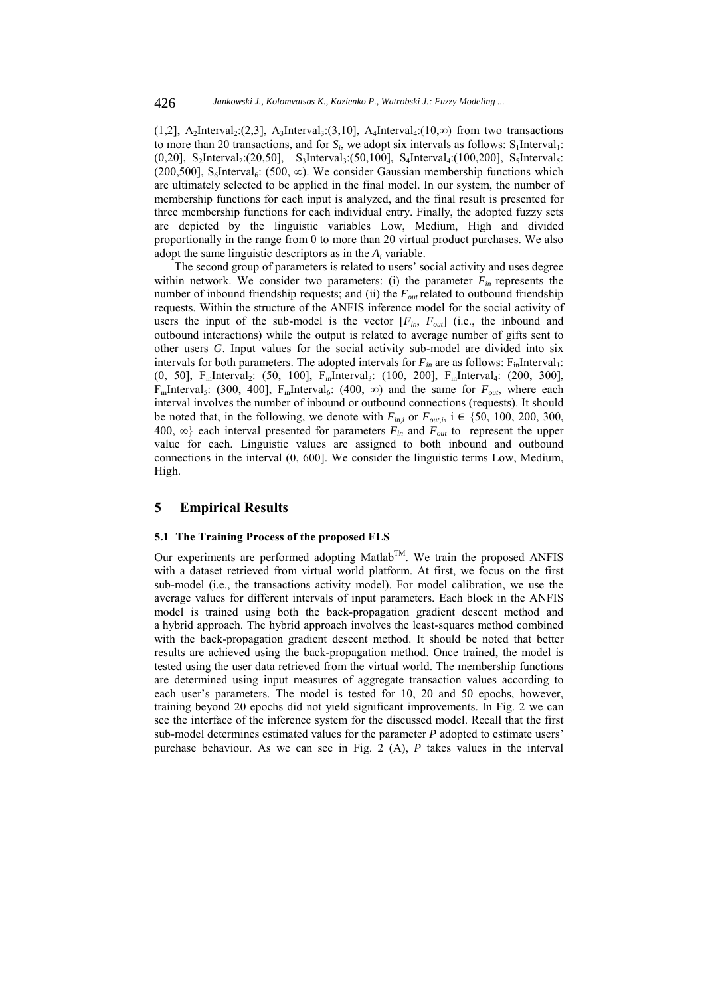(1,2), A<sub>2</sub>Interval<sub>2</sub>:(2,3), A<sub>3</sub>Interval<sub>3</sub>:(3,10), A<sub>4</sub>Interval<sub>4</sub>:(10,∞) from two transactions to more than 20 transactions, and for  $S_i$ , we adopt six intervals as follows:  $S_1$ Interval<sub>1</sub>:  $(0,20]$ , S<sub>2</sub>Interval<sub>2</sub>: $(20,50]$ , S<sub>3</sub>Interval<sub>3</sub>: $(50,100]$ , S<sub>4</sub>Interval<sub>4</sub>: $(100,200]$ , S<sub>5</sub>Interval<sub>5</sub>: (200,500], S<sub>6</sub>Interval<sub>6</sub>: (500,  $\infty$ ). We consider Gaussian membership functions which are ultimately selected to be applied in the final model. In our system, the number of membership functions for each input is analyzed, and the final result is presented for three membership functions for each individual entry. Finally, the adopted fuzzy sets are depicted by the linguistic variables Low, Medium, High and divided proportionally in the range from 0 to more than 20 virtual product purchases. We also adopt the same linguistic descriptors as in the *Ai* variable.

The second group of parameters is related to users' social activity and uses degree within network. We consider two parameters: (i) the parameter  $F_{in}$  represents the number of inbound friendship requests; and (ii) the  $F_{out}$  related to outbound friendship requests. Within the structure of the ANFIS inference model for the social activity of users the input of the sub-model is the vector  $[F_{in}, F_{out}]$  (i.e., the inbound and outbound interactions) while the output is related to average number of gifts sent to other users *G*. Input values for the social activity sub-model are divided into six intervals for both parameters. The adopted intervals for  $F_{in}$  are as follows:  $F_{in}$ Interval<sub>1</sub>: (0, 50], F<sub>in</sub>Interval<sub>2</sub>: (50, 100], F<sub>in</sub>Interval<sub>3</sub>: (100, 200], F<sub>in</sub>Interval<sub>4</sub>: (200, 300], F<sub>in</sub>Interval<sub>5</sub>: (300, 400], F<sub>in</sub>Interval<sub>6</sub>: (400,  $\infty$ ) and the same for  $F_{out}$ , where each interval involves the number of inbound or outbound connections (requests). It should be noted that, in the following, we denote with  $F_{in,i}$  or  $F_{out,i}$ , i  $\in \{50, 100, 200, 300,$ 400,  $\infty$ } each interval presented for parameters  $F_{in}$  and  $F_{out}$  to represent the upper value for each. Linguistic values are assigned to both inbound and outbound connections in the interval (0, 600]. We consider the linguistic terms Low, Medium, High.

## **5 Empirical Results**

#### **5.1 The Training Process of the proposed FLS**

Our experiments are performed adopting Matlab<sup>TM</sup>. We train the proposed ANFIS with a dataset retrieved from virtual world platform. At first, we focus on the first sub-model (i.e., the transactions activity model). For model calibration, we use the average values for different intervals of input parameters. Each block in the ANFIS model is trained using both the back-propagation gradient descent method and a hybrid approach. The hybrid approach involves the least-squares method combined with the back-propagation gradient descent method. It should be noted that better results are achieved using the back-propagation method. Once trained, the model is tested using the user data retrieved from the virtual world. The membership functions are determined using input measures of aggregate transaction values according to each user's parameters. The model is tested for 10, 20 and 50 epochs, however, training beyond 20 epochs did not yield significant improvements. In Fig. 2 we can see the interface of the inference system for the discussed model. Recall that the first sub-model determines estimated values for the parameter *P* adopted to estimate users' purchase behaviour. As we can see in Fig. 2 (A), *P* takes values in the interval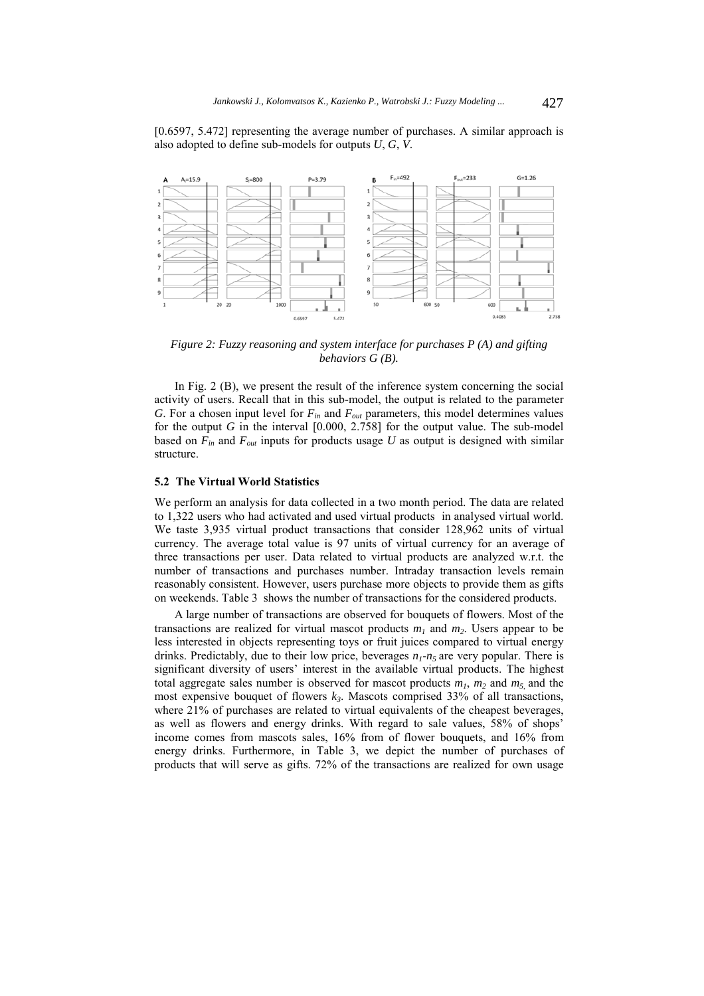[0.6597, 5.472] representing the average number of purchases. A similar approach is also adopted to define sub-models for outputs *U*, *G*, *V*.



*Figure 2: Fuzzy reasoning and system interface for purchases P (A) and gifting behaviors G (B).* 

In Fig. 2 (B), we present the result of the inference system concerning the social activity of users. Recall that in this sub-model, the output is related to the parameter *G*. For a chosen input level for  $F_{in}$  and  $F_{out}$  parameters, this model determines values for the output *G* in the interval [0.000, 2.758] for the output value. The sub-model based on  $F_{in}$  and  $F_{out}$  inputs for products usage U as output is designed with similar structure.

#### **5.2 The Virtual World Statistics**

We perform an analysis for data collected in a two month period. The data are related to 1,322 users who had activated and used virtual products in analysed virtual world. We taste 3,935 virtual product transactions that consider 128,962 units of virtual currency. The average total value is 97 units of virtual currency for an average of three transactions per user. Data related to virtual products are analyzed w.r.t. the number of transactions and purchases number. Intraday transaction levels remain reasonably consistent. However, users purchase more objects to provide them as gifts on weekends. Table 3 shows the number of transactions for the considered products.

A large number of transactions are observed for bouquets of flowers. Most of the transactions are realized for virtual mascot products  $m_1$  and  $m_2$ . Users appear to be less interested in objects representing toys or fruit juices compared to virtual energy drinks. Predictably, due to their low price, beverages  $n_1 - n_5$  are very popular. There is significant diversity of users' interest in the available virtual products. The highest total aggregate sales number is observed for mascot products  $m_1$ ,  $m_2$  and  $m_5$  and the most expensive bouquet of flowers  $k_3$ . Mascots comprised 33% of all transactions, where 21% of purchases are related to virtual equivalents of the cheapest beverages, as well as flowers and energy drinks. With regard to sale values, 58% of shops' income comes from mascots sales, 16% from of flower bouquets, and 16% from energy drinks. Furthermore, in Table 3, we depict the number of purchases of products that will serve as gifts. 72% of the transactions are realized for own usage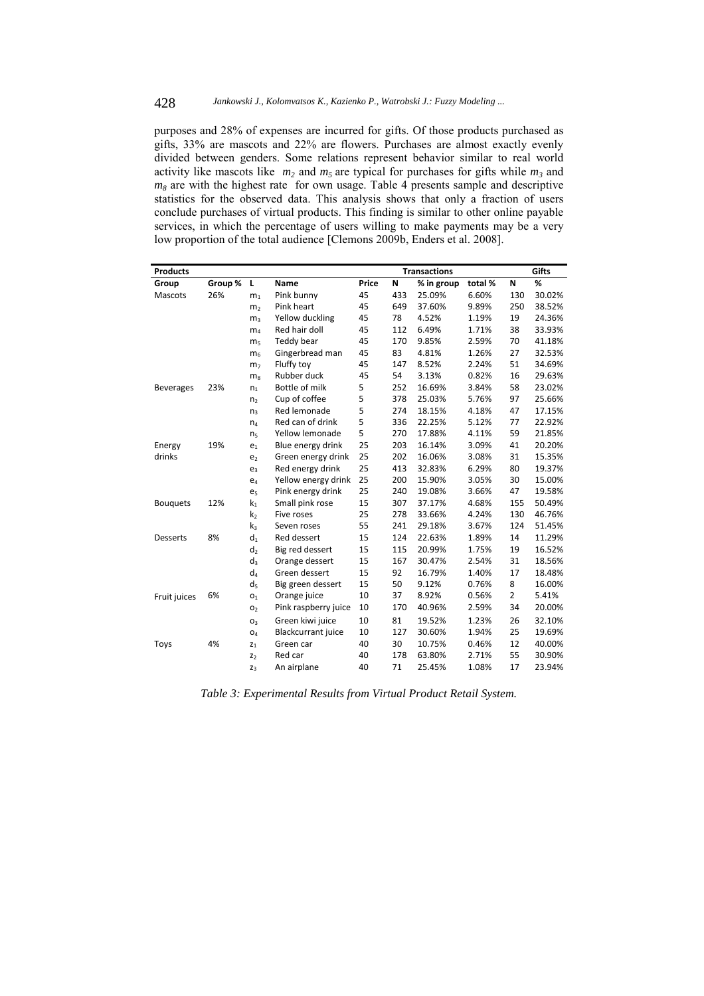purposes and 28% of expenses are incurred for gifts. Of those products purchased as gifts, 33% are mascots and 22% are flowers. Purchases are almost exactly evenly divided between genders. Some relations represent behavior similar to real world activity like mascots like  $m_2$  and  $m_5$  are typical for purchases for gifts while  $m_3$  and  $m_8$  are with the highest rate for own usage. Table 4 presents sample and descriptive statistics for the observed data. This analysis shows that only a fraction of users conclude purchases of virtual products. This finding is similar to other online payable services, in which the percentage of users willing to make payments may be a very low proportion of the total audience [Clemons 2009b, Enders et al. 2008].

| <b>Products</b>  | <b>Transactions</b> |                       |                           | Gifts |     |            |         |                |        |
|------------------|---------------------|-----------------------|---------------------------|-------|-----|------------|---------|----------------|--------|
| Group            | Group %             | Г                     | Name                      | Price | N   | % in group | total % | N              | %      |
| Mascots          | 26%                 | m <sub>1</sub>        | Pink bunny                | 45    | 433 | 25.09%     | 6.60%   | 130            | 30.02% |
|                  |                     | m <sub>2</sub>        | Pink heart                | 45    | 649 | 37.60%     | 9.89%   | 250            | 38.52% |
|                  |                     | m <sub>3</sub>        | Yellow duckling           | 45    | 78  | 4.52%      | 1.19%   | 19             | 24.36% |
|                  |                     | m <sub>4</sub>        | Red hair doll             | 45    | 112 | 6.49%      | 1.71%   | 38             | 33.93% |
|                  |                     | m <sub>5</sub>        | Teddy bear                | 45    | 170 | 9.85%      | 2.59%   | 70             | 41.18% |
|                  |                     | m <sub>6</sub>        | Gingerbread man           | 45    | 83  | 4.81%      | 1.26%   | 27             | 32.53% |
|                  |                     | m <sub>7</sub>        | Fluffy toy                | 45    | 147 | 8.52%      | 2.24%   | 51             | 34.69% |
|                  |                     | m <sub>8</sub>        | Rubber duck               | 45    | 54  | 3.13%      | 0.82%   | 16             | 29.63% |
| <b>Beverages</b> | 23%                 | n <sub>1</sub>        | Bottle of milk            | 5     | 252 | 16.69%     | 3.84%   | 58             | 23.02% |
|                  |                     | n <sub>2</sub>        | Cup of coffee             | 5     | 378 | 25.03%     | 5.76%   | 97             | 25.66% |
|                  |                     | n <sub>3</sub>        | Red lemonade              | 5     | 274 | 18.15%     | 4.18%   | 47             | 17.15% |
|                  |                     | $n_4$                 | Red can of drink          | 5     | 336 | 22.25%     | 5.12%   | 77             | 22.92% |
|                  |                     | n <sub>5</sub>        | Yellow lemonade           | 5     | 270 | 17.88%     | 4.11%   | 59             | 21.85% |
| Energy           | 19%                 | e <sub>1</sub>        | Blue energy drink         | 25    | 203 | 16.14%     | 3.09%   | 41             | 20.20% |
| drinks           |                     | e <sub>2</sub>        | Green energy drink        | 25    | 202 | 16.06%     | 3.08%   | 31             | 15.35% |
|                  |                     | $e_3$                 | Red energy drink          | 25    | 413 | 32.83%     | 6.29%   | 80             | 19.37% |
|                  |                     | e <sub>4</sub>        | Yellow energy drink       | 25    | 200 | 15.90%     | 3.05%   | 30             | 15.00% |
|                  |                     | e <sub>5</sub>        | Pink energy drink         | 25    | 240 | 19.08%     | 3.66%   | 47             | 19.58% |
| <b>Bouquets</b>  | 12%                 | $k_1$                 | Small pink rose           | 15    | 307 | 37.17%     | 4.68%   | 155            | 50.49% |
|                  |                     | k <sub>2</sub>        | Five roses                | 25    | 278 | 33.66%     | 4.24%   | 130            | 46.76% |
|                  |                     | $k_3$                 | Seven roses               | 55    | 241 | 29.18%     | 3.67%   | 124            | 51.45% |
| <b>Desserts</b>  | 8%                  | $d_1$                 | Red dessert               | 15    | 124 | 22.63%     | 1.89%   | 14             | 11.29% |
|                  |                     | d,                    | Big red dessert           | 15    | 115 | 20.99%     | 1.75%   | 19             | 16.52% |
|                  |                     | $d_3$                 | Orange dessert            | 15    | 167 | 30.47%     | 2.54%   | 31             | 18.56% |
|                  |                     | d <sub>4</sub>        | Green dessert             | 15    | 92  | 16.79%     | 1.40%   | 17             | 18.48% |
|                  |                     | d,                    | Big green dessert         | 15    | 50  | 9.12%      | 0.76%   | 8              | 16.00% |
| Fruit juices     | 6%                  | O <sub>1</sub>        | Orange juice              | 10    | 37  | 8.92%      | 0.56%   | $\overline{2}$ | 5.41%  |
|                  |                     | O <sub>2</sub>        | Pink raspberry juice      | 10    | 170 | 40.96%     | 2.59%   | 34             | 20.00% |
|                  |                     | O <sub>3</sub>        | Green kiwi juice          | 10    | 81  | 19.52%     | 1.23%   | 26             | 32.10% |
|                  |                     | <b>O</b> <sub>4</sub> | <b>Blackcurrant</b> juice | 10    | 127 | 30.60%     | 1.94%   | 25             | 19.69% |
| Toys             | 4%                  | $z_1$                 | Green car                 | 40    | 30  | 10.75%     | 0.46%   | 12             | 40.00% |
|                  |                     | Z <sub>2</sub>        | Red car                   | 40    | 178 | 63.80%     | 2.71%   | 55             | 30.90% |
|                  |                     | $Z_3$                 | An airplane               | 40    | 71  | 25.45%     | 1.08%   | 17             | 23.94% |

*Table 3: Experimental Results from Virtual Product Retail System.*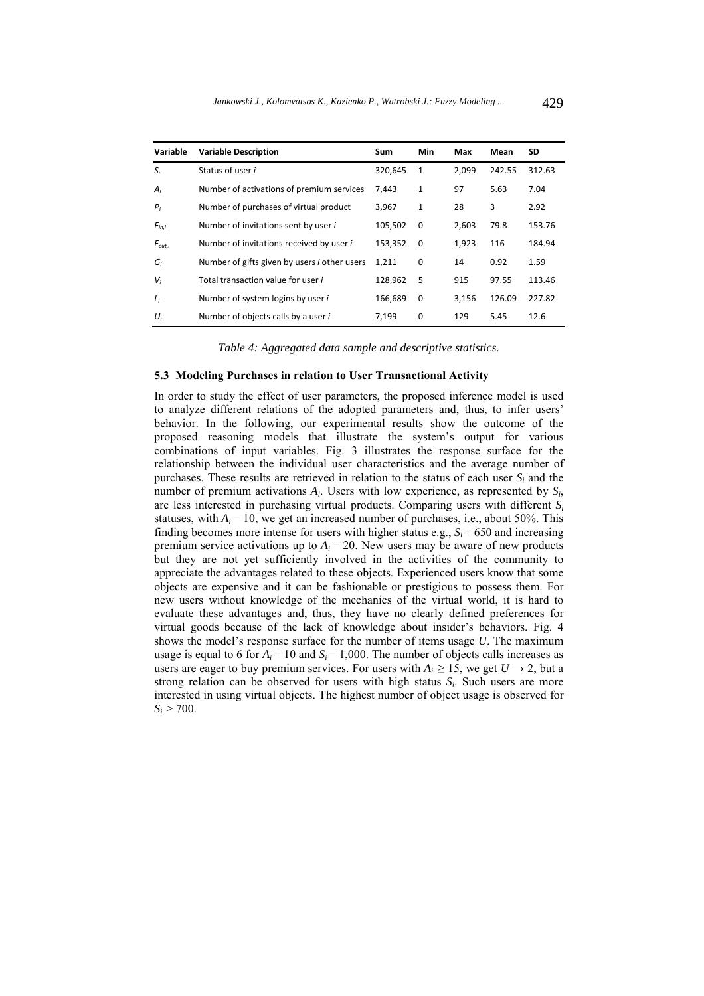| Variable    | <b>Variable Description</b>                         | Sum     | Min      | <b>Max</b> | Mean   | SD     |
|-------------|-----------------------------------------------------|---------|----------|------------|--------|--------|
| $S_i$       | Status of user i                                    | 320,645 | 1        | 2,099      | 242.55 | 312.63 |
| $A_i$       | Number of activations of premium services           | 7,443   | 1        | 97         | 5.63   | 7.04   |
| $P_i$       | Number of purchases of virtual product              | 3.967   | 1        | 28         | 3      | 2.92   |
| $F_{in,i}$  | Number of invitations sent by user i                | 105.502 | $\Omega$ | 2,603      | 79.8   | 153.76 |
| $F_{out,i}$ | Number of invitations received by user i            | 153.352 | $\Omega$ | 1.923      | 116    | 184.94 |
| G,          | Number of gifts given by users <i>i</i> other users | 1,211   | 0        | 14         | 0.92   | 1.59   |
| $V_i$       | Total transaction value for user i                  | 128.962 | 5        | 915        | 97.55  | 113.46 |
| $L_i$       | Number of system logins by user i                   | 166,689 | 0        | 3,156      | 126.09 | 227.82 |
| $U_i$       | Number of objects calls by a user i                 | 7.199   | 0        | 129        | 5.45   | 12.6   |

*Table 4: Aggregated data sample and descriptive statistics.* 

#### **5.3 Modeling Purchases in relation to User Transactional Activity**

In order to study the effect of user parameters, the proposed inference model is used to analyze different relations of the adopted parameters and, thus, to infer users' behavior. In the following, our experimental results show the outcome of the proposed reasoning models that illustrate the system's output for various combinations of input variables. Fig. 3 illustrates the response surface for the relationship between the individual user characteristics and the average number of purchases. These results are retrieved in relation to the status of each user *Si* and the number of premium activations *Ai*. Users with low experience, as represented by *Si*, are less interested in purchasing virtual products. Comparing users with different *Si* statuses, with  $A_i = 10$ , we get an increased number of purchases, i.e., about 50%. This finding becomes more intense for users with higher status e.g.,  $S_i = 650$  and increasing premium service activations up to  $A_i = 20$ . New users may be aware of new products but they are not yet sufficiently involved in the activities of the community to appreciate the advantages related to these objects. Experienced users know that some objects are expensive and it can be fashionable or prestigious to possess them. For new users without knowledge of the mechanics of the virtual world, it is hard to evaluate these advantages and, thus, they have no clearly defined preferences for virtual goods because of the lack of knowledge about insider's behaviors. Fig. 4 shows the model's response surface for the number of items usage *U*. The maximum usage is equal to 6 for  $A_i = 10$  and  $S_i = 1,000$ . The number of objects calls increases as users are eager to buy premium services. For users with  $A_i \ge 15$ , we get  $U \rightarrow 2$ , but a strong relation can be observed for users with high status *Si*. Such users are more interested in using virtual objects. The highest number of object usage is observed for  $S_i > 700$ .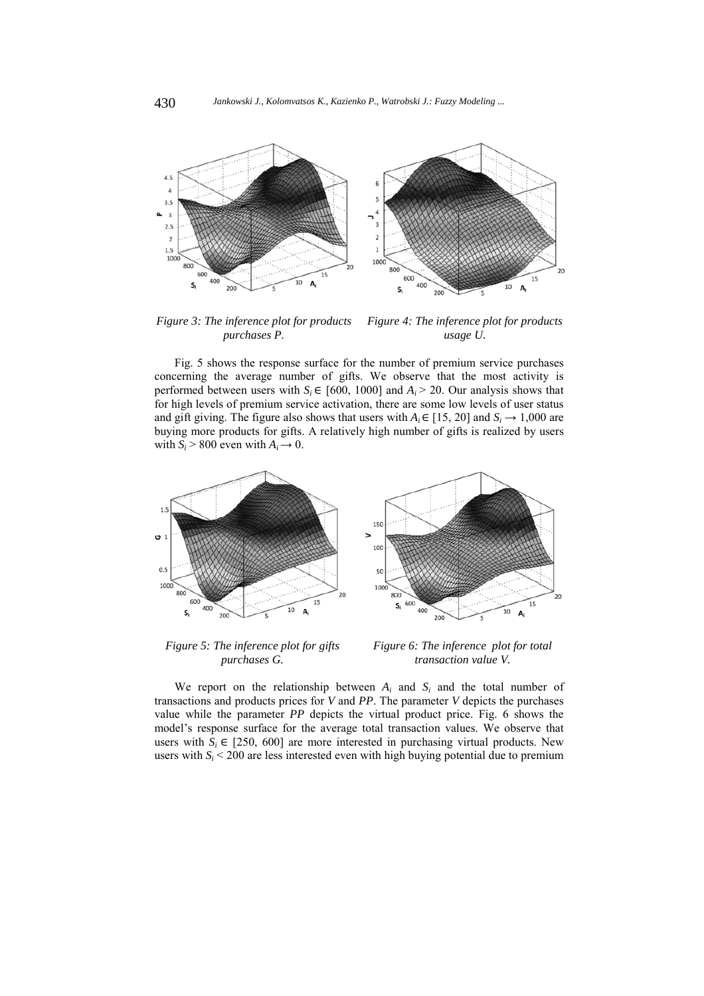

*Figure 3: The inference plot for products purchases P. Figure 4: The inference plot for products usage U.*

Fig. 5 shows the response surface for the number of premium service purchases concerning the average number of gifts. We observe that the most activity is performed between users with  $S_i \in [600, 1000]$  and  $A_i > 20$ . Our analysis shows that for high levels of premium service activation, there are some low levels of user status and gift giving. The figure also shows that users with  $A_i \in [15, 20]$  and  $S_i \rightarrow 1,000$  are buying more products for gifts. A relatively high number of gifts is realized by users with  $S_i > 800$  even with  $A_i \rightarrow 0$ .



*Figure 5: The inference plot for gifts purchases G.*

*Figure 6: The inference plot for total transaction value V.*

We report on the relationship between  $A_i$  and  $S_i$  and the total number of transactions and products prices for *V* and *PP*. The parameter *V* depicts the purchases value while the parameter *PP* depicts the virtual product price. Fig. 6 shows the model's response surface for the average total transaction values. We observe that users with  $S_i \in [250, 600]$  are more interested in purchasing virtual products. New users with  $S_i < 200$  are less interested even with high buying potential due to premium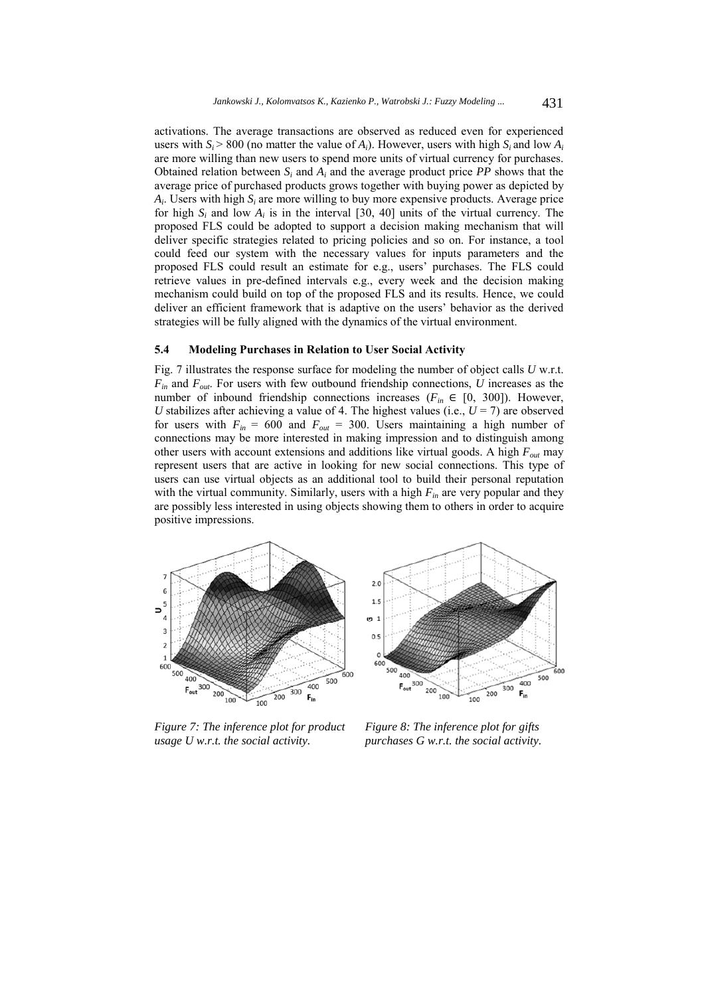activations. The average transactions are observed as reduced even for experienced users with  $S_i > 800$  (no matter the value of  $A_i$ ). However, users with high  $S_i$  and low  $A_i$ are more willing than new users to spend more units of virtual currency for purchases. Obtained relation between  $S_i$  and  $A_i$  and the average product price *PP* shows that the average price of purchased products grows together with buying power as depicted by *Ai*. Users with high *Si* are more willing to buy more expensive products. Average price for high  $S_i$  and low  $A_i$  is in the interval  $[30, 40]$  units of the virtual currency. The proposed FLS could be adopted to support a decision making mechanism that will deliver specific strategies related to pricing policies and so on. For instance, a tool could feed our system with the necessary values for inputs parameters and the proposed FLS could result an estimate for e.g., users' purchases. The FLS could retrieve values in pre-defined intervals e.g., every week and the decision making mechanism could build on top of the proposed FLS and its results. Hence, we could deliver an efficient framework that is adaptive on the users' behavior as the derived strategies will be fully aligned with the dynamics of the virtual environment.

#### **5.4 Modeling Purchases in Relation to User Social Activity**

Fig. 7 illustrates the response surface for modeling the number of object calls *U* w.r.t. *Fin* and *Fout*. For users with few outbound friendship connections, *U* increases as the number of inbound friendship connections increases ( $F_{in} \in [0, 300]$ ). However, *U* stabilizes after achieving a value of 4. The highest values (i.e.,  $U = 7$ ) are observed for users with  $F_{in} = 600$  and  $F_{out} = 300$ . Users maintaining a high number of connections may be more interested in making impression and to distinguish among other users with account extensions and additions like virtual goods. A high  $F_{out}$  may represent users that are active in looking for new social connections. This type of users can use virtual objects as an additional tool to build their personal reputation with the virtual community. Similarly, users with a high  $F_{in}$  are very popular and they are possibly less interested in using objects showing them to others in order to acquire positive impressions.





*Figure 7: The inference plot for product usage U w.r.t. the social activity.*

*Figure 8: The inference plot for gifts purchases G w.r.t. the social activity.*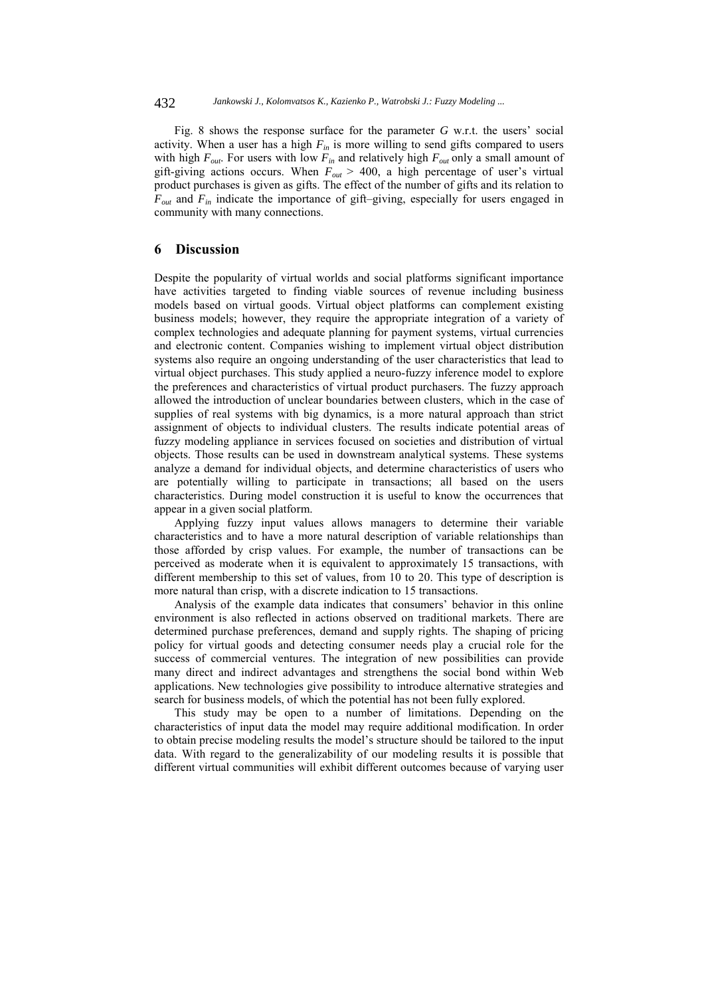Fig. 8 shows the response surface for the parameter *G* w.r.t. the users' social activity. When a user has a high  $F_{in}$  is more willing to send gifts compared to users with high  $F_{out}$ . For users with low  $F_{in}$  and relatively high  $F_{out}$  only a small amount of gift-giving actions occurs. When  $F_{out} > 400$ , a high percentage of user's virtual product purchases is given as gifts. The effect of the number of gifts and its relation to *Fout* and *Fin* indicate the importance of gift–giving, especially for users engaged in community with many connections.

## **6 Discussion**

Despite the popularity of virtual worlds and social platforms significant importance have activities targeted to finding viable sources of revenue including business models based on virtual goods. Virtual object platforms can complement existing business models; however, they require the appropriate integration of a variety of complex technologies and adequate planning for payment systems, virtual currencies and electronic content. Companies wishing to implement virtual object distribution systems also require an ongoing understanding of the user characteristics that lead to virtual object purchases. This study applied a neuro-fuzzy inference model to explore the preferences and characteristics of virtual product purchasers. The fuzzy approach allowed the introduction of unclear boundaries between clusters, which in the case of supplies of real systems with big dynamics, is a more natural approach than strict assignment of objects to individual clusters. The results indicate potential areas of fuzzy modeling appliance in services focused on societies and distribution of virtual objects. Those results can be used in downstream analytical systems. These systems analyze a demand for individual objects, and determine characteristics of users who are potentially willing to participate in transactions; all based on the users characteristics. During model construction it is useful to know the occurrences that appear in a given social platform.

Applying fuzzy input values allows managers to determine their variable characteristics and to have a more natural description of variable relationships than those afforded by crisp values. For example, the number of transactions can be perceived as moderate when it is equivalent to approximately 15 transactions, with different membership to this set of values, from 10 to 20. This type of description is more natural than crisp, with a discrete indication to 15 transactions.

Analysis of the example data indicates that consumers' behavior in this online environment is also reflected in actions observed on traditional markets. There are determined purchase preferences, demand and supply rights. The shaping of pricing policy for virtual goods and detecting consumer needs play a crucial role for the success of commercial ventures. The integration of new possibilities can provide many direct and indirect advantages and strengthens the social bond within Web applications. New technologies give possibility to introduce alternative strategies and search for business models, of which the potential has not been fully explored.

This study may be open to a number of limitations. Depending on the characteristics of input data the model may require additional modification. In order to obtain precise modeling results the model's structure should be tailored to the input data. With regard to the generalizability of our modeling results it is possible that different virtual communities will exhibit different outcomes because of varying user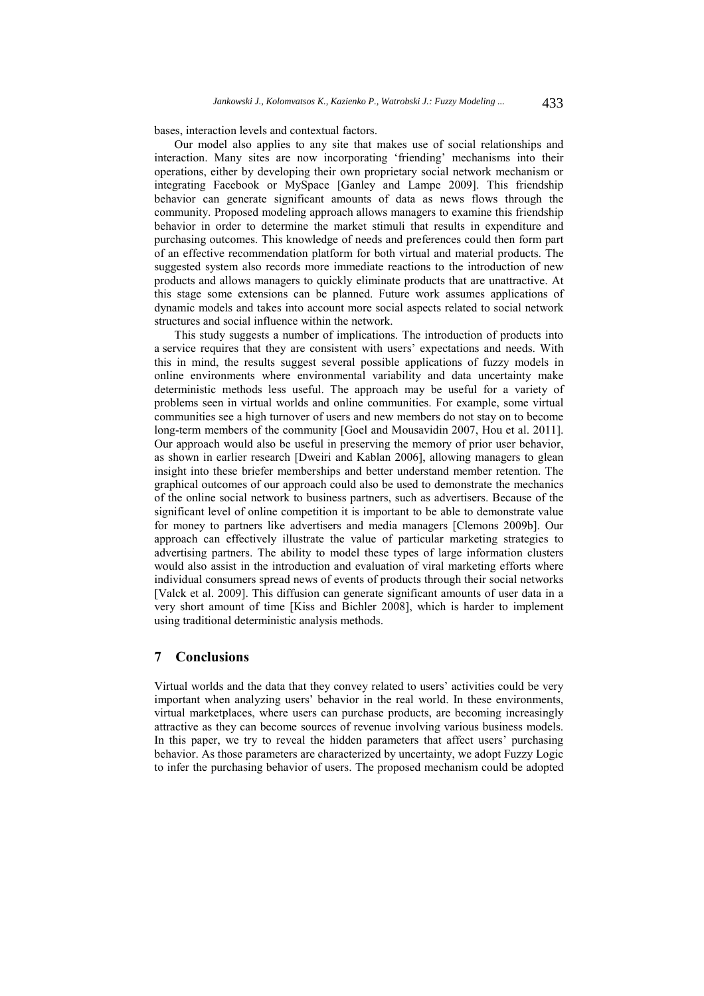bases, interaction levels and contextual factors.

Our model also applies to any site that makes use of social relationships and interaction. Many sites are now incorporating 'friending' mechanisms into their operations, either by developing their own proprietary social network mechanism or integrating Facebook or MySpace [Ganley and Lampe 2009]. This friendship behavior can generate significant amounts of data as news flows through the community. Proposed modeling approach allows managers to examine this friendship behavior in order to determine the market stimuli that results in expenditure and purchasing outcomes. This knowledge of needs and preferences could then form part of an effective recommendation platform for both virtual and material products. The suggested system also records more immediate reactions to the introduction of new products and allows managers to quickly eliminate products that are unattractive. At this stage some extensions can be planned. Future work assumes applications of dynamic models and takes into account more social aspects related to social network structures and social influence within the network.

This study suggests a number of implications. The introduction of products into a service requires that they are consistent with users' expectations and needs. With this in mind, the results suggest several possible applications of fuzzy models in online environments where environmental variability and data uncertainty make deterministic methods less useful. The approach may be useful for a variety of problems seen in virtual worlds and online communities. For example, some virtual communities see a high turnover of users and new members do not stay on to become long-term members of the community [Goel and Mousavidin 2007, Hou et al. 2011]. Our approach would also be useful in preserving the memory of prior user behavior, as shown in earlier research [Dweiri and Kablan 2006], allowing managers to glean insight into these briefer memberships and better understand member retention. The graphical outcomes of our approach could also be used to demonstrate the mechanics of the online social network to business partners, such as advertisers. Because of the significant level of online competition it is important to be able to demonstrate value for money to partners like advertisers and media managers [Clemons 2009b]. Our approach can effectively illustrate the value of particular marketing strategies to advertising partners. The ability to model these types of large information clusters would also assist in the introduction and evaluation of viral marketing efforts where individual consumers spread news of events of products through their social networks [Valck et al. 2009]. This diffusion can generate significant amounts of user data in a very short amount of time [Kiss and Bichler 2008], which is harder to implement using traditional deterministic analysis methods.

## **7 Conclusions**

Virtual worlds and the data that they convey related to users' activities could be very important when analyzing users' behavior in the real world. In these environments, virtual marketplaces, where users can purchase products, are becoming increasingly attractive as they can become sources of revenue involving various business models. In this paper, we try to reveal the hidden parameters that affect users' purchasing behavior. As those parameters are characterized by uncertainty, we adopt Fuzzy Logic to infer the purchasing behavior of users. The proposed mechanism could be adopted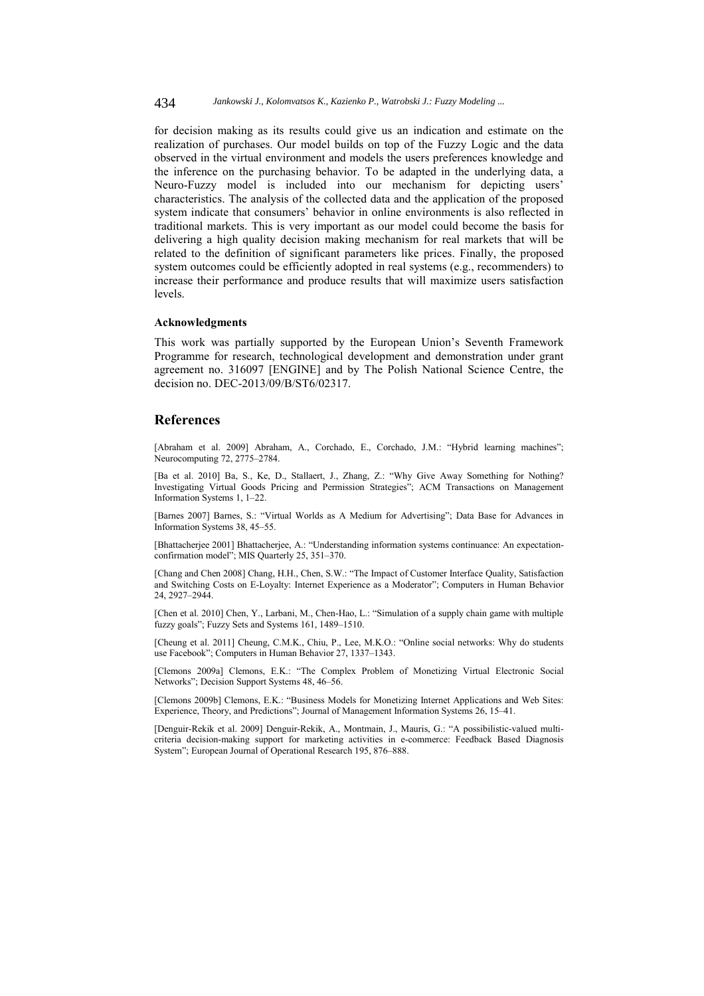for decision making as its results could give us an indication and estimate on the realization of purchases. Our model builds on top of the Fuzzy Logic and the data observed in the virtual environment and models the users preferences knowledge and the inference on the purchasing behavior. To be adapted in the underlying data, a Neuro-Fuzzy model is included into our mechanism for depicting users' characteristics. The analysis of the collected data and the application of the proposed system indicate that consumers' behavior in online environments is also reflected in traditional markets. This is very important as our model could become the basis for delivering a high quality decision making mechanism for real markets that will be related to the definition of significant parameters like prices. Finally, the proposed system outcomes could be efficiently adopted in real systems (e.g., recommenders) to increase their performance and produce results that will maximize users satisfaction levels.

#### **Acknowledgments**

This work was partially supported by the European Union's Seventh Framework Programme for research, technological development and demonstration under grant agreement no. 316097 [ENGINE] and by The Polish National Science Centre, the decision no. DEC-2013/09/B/ST6/02317.

## **References**

[Abraham et al. 2009] Abraham, A., Corchado, E., Corchado, J.M.: "Hybrid learning machines"; Neurocomputing 72, 2775–2784.

[Ba et al. 2010] Ba, S., Ke, D., Stallaert, J., Zhang, Z.: "Why Give Away Something for Nothing? Investigating Virtual Goods Pricing and Permission Strategies"; ACM Transactions on Management Information Systems 1, 1–22.

[Barnes 2007] Barnes, S.: "Virtual Worlds as A Medium for Advertising"; Data Base for Advances in Information Systems 38, 45–55.

[Bhattacherjee 2001] Bhattacherjee, A.: "Understanding information systems continuance: An expectationconfirmation model"; MIS Quarterly 25, 351–370.

[Chang and Chen 2008] Chang, H.H., Chen, S.W.: "The Impact of Customer Interface Quality, Satisfaction and Switching Costs on E-Loyalty: Internet Experience as a Moderator"; Computers in Human Behavior 24, 2927–2944.

[Chen et al. 2010] Chen, Y., Larbani, M., Chen-Hao, L.: "Simulation of a supply chain game with multiple fuzzy goals"; Fuzzy Sets and Systems 161, 1489–1510.

[Cheung et al. 2011] Cheung, C.M.K., Chiu, P., Lee, M.K.O.: "Online social networks: Why do students use Facebook"; Computers in Human Behavior 27, 1337–1343.

[Clemons 2009a] Clemons, E.K.: "The Complex Problem of Monetizing Virtual Electronic Social Networks"; Decision Support Systems 48, 46–56.

[Clemons 2009b] Clemons, E.K.: "Business Models for Monetizing Internet Applications and Web Sites: Experience, Theory, and Predictions"; Journal of Management Information Systems 26, 15–41.

[Denguir-Rekik et al. 2009] Denguir-Rekik, A., Montmain, J., Mauris, G.: "A possibilistic-valued multicriteria decision-making support for marketing activities in e-commerce: Feedback Based Diagnosis System"; European Journal of Operational Research 195, 876–888.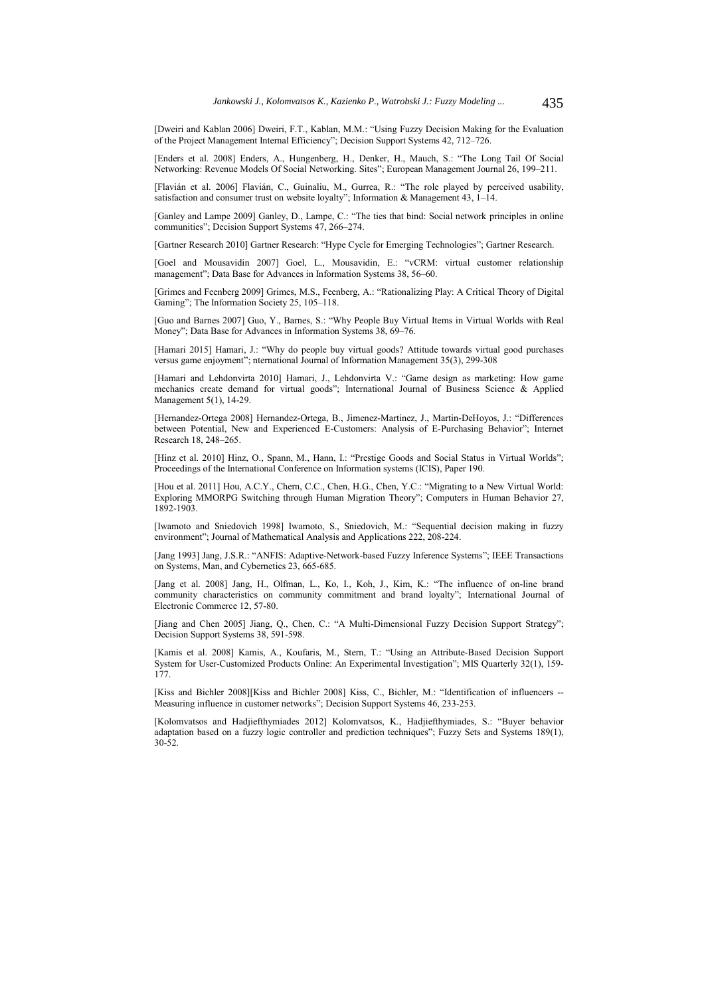[Dweiri and Kablan 2006] Dweiri, F.T., Kablan, M.M.: "Using Fuzzy Decision Making for the Evaluation of the Project Management Internal Efficiency"; Decision Support Systems 42, 712–726.

[Enders et al. 2008] Enders, A., Hungenberg, H., Denker, H., Mauch, S.: "The Long Tail Of Social Networking: Revenue Models Of Social Networking. Sites"; European Management Journal 26, 199–211.

[Flavián et al. 2006] Flavián, C., Guinaliu, M., Gurrea, R.: "The role played by perceived usability, satisfaction and consumer trust on website loyalty"; Information & Management 43,  $1-14$ .

[Ganley and Lampe 2009] Ganley, D., Lampe, C.: "The ties that bind: Social network principles in online communities"; Decision Support Systems 47, 266–274.

[Gartner Research 2010] Gartner Research: "Hype Cycle for Emerging Technologies"; Gartner Research.

[Goel and Mousavidin 2007] Goel, L., Mousavidin, E.: "vCRM: virtual customer relationship management"; Data Base for Advances in Information Systems 38, 56–60.

[Grimes and Feenberg 2009] Grimes, M.S., Feenberg, A.: "Rationalizing Play: A Critical Theory of Digital Gaming"; The Information Society 25, 105–118.

[Guo and Barnes 2007] Guo, Y., Barnes, S.: "Why People Buy Virtual Items in Virtual Worlds with Real Money"; Data Base for Advances in Information Systems 38, 69–76.

[Hamari 2015] Hamari, J.: "Why do people buy virtual goods? Attitude towards virtual good purchases versus game enjoyment"; nternational Journal of Information Management 35(3), 299-308

[Hamari and Lehdonvirta 2010] Hamari, J., Lehdonvirta V.: "Game design as marketing: How game mechanics create demand for virtual goods"; International Journal of Business Science & Applied Management 5(1), 14-29.

[Hernandez-Ortega 2008] Hernandez-Ortega, B., Jimenez-Martinez, J., Martin-DeHoyos, J.: "Differences between Potential, New and Experienced E-Customers: Analysis of E-Purchasing Behavior"; Internet Research 18, 248–265.

[Hinz et al. 2010] Hinz, O., Spann, M., Hann, I.: "Prestige Goods and Social Status in Virtual Worlds"; Proceedings of the International Conference on Information systems (ICIS), Paper 190.

[Hou et al. 2011] Hou, A.C.Y., Chern, C.C., Chen, H.G., Chen, Y.C.: "Migrating to a New Virtual World: Exploring MMORPG Switching through Human Migration Theory"; Computers in Human Behavior 27, 1892-1903.

[Iwamoto and Sniedovich 1998] Iwamoto, S., Sniedovich, M.: "Sequential decision making in fuzzy environment"; Journal of Mathematical Analysis and Applications 222, 208-224.

[Jang 1993] Jang, J.S.R.: "ANFIS: Adaptive-Network-based Fuzzy Inference Systems"; IEEE Transactions on Systems, Man, and Cybernetics 23, 665-685.

[Jang et al. 2008] Jang, H., Olfman, L., Ko, I., Koh, J., Kim, K.: "The influence of on-line brand community characteristics on community commitment and brand loyalty"; International Journal of Electronic Commerce 12, 57-80.

[Jiang and Chen 2005] Jiang, Q., Chen, C.: "A Multi-Dimensional Fuzzy Decision Support Strategy"; Decision Support Systems 38, 591-598.

[Kamis et al. 2008] Kamis, A., Koufaris, M., Stern, T.: "Using an Attribute-Based Decision Support System for User-Customized Products Online: An Experimental Investigation"; MIS Quarterly 32(1), 159- 177.

[Kiss and Bichler 2008][Kiss and Bichler 2008] Kiss, C., Bichler, M.: "Identification of influencers -- Measuring influence in customer networks"; Decision Support Systems 46, 233-253.

[Kolomvatsos and Hadjiefthymiades 2012] Kolomvatsos, K., Hadjiefthymiades, S.: "Buyer behavior adaptation based on a fuzzy logic controller and prediction techniques"; Fuzzy Sets and Systems 189(1), 30-52.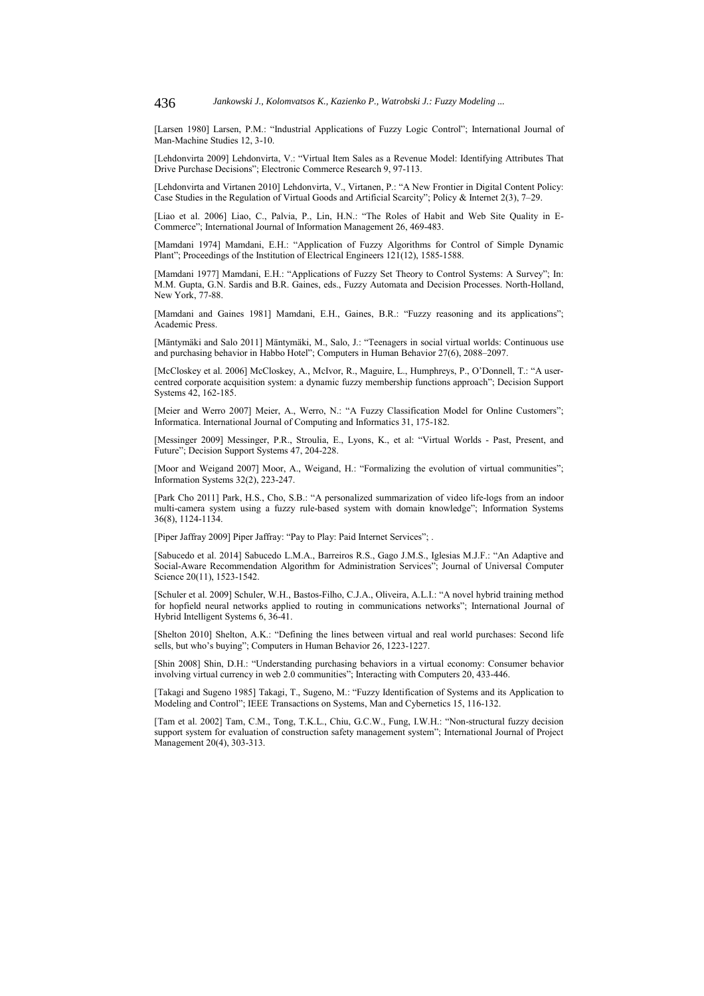[Larsen 1980] Larsen, P.M.: "Industrial Applications of Fuzzy Logic Control"; International Journal of Man-Machine Studies 12, 3-10.

[Lehdonvirta 2009] Lehdonvirta, V.: "Virtual Item Sales as a Revenue Model: Identifying Attributes That Drive Purchase Decisions"; Electronic Commerce Research 9, 97-113.

[Lehdonvirta and Virtanen 2010] Lehdonvirta, V., Virtanen, P.: "A New Frontier in Digital Content Policy: Case Studies in the Regulation of Virtual Goods and Artificial Scarcity"; Policy & Internet 2(3), 7–29.

[Liao et al. 2006] Liao, C., Palvia, P., Lin, H.N.: "The Roles of Habit and Web Site Quality in E-Commerce"; International Journal of Information Management 26, 469-483.

[Mamdani 1974] Mamdani, E.H.: "Application of Fuzzy Algorithms for Control of Simple Dynamic Plant"; Proceedings of the Institution of Electrical Engineers 121(12), 1585-1588.

[Mamdani 1977] Mamdani, E.H.: "Applications of Fuzzy Set Theory to Control Systems: A Survey"; In: M.M. Gupta, G.N. Sardis and B.R. Gaines, eds., Fuzzy Automata and Decision Processes. North-Holland, New York, 77-88.

[Mamdani and Gaines 1981] Mamdani, E.H., Gaines, B.R.: "Fuzzy reasoning and its applications"; Academic Press.

[Mäntymäki and Salo 2011] Mäntymäki, M., Salo, J.: "Teenagers in social virtual worlds: Continuous use and purchasing behavior in Habbo Hotel"; Computers in Human Behavior 27(6), 2088–2097.

[McCloskey et al. 2006] McCloskey, A., McIvor, R., Maguire, L., Humphreys, P., O'Donnell, T.: "A usercentred corporate acquisition system: a dynamic fuzzy membership functions approach"; Decision Support Systems 42, 162-185.

[Meier and Werro 2007] Meier, A., Werro, N.: "A Fuzzy Classification Model for Online Customers"; Informatica. International Journal of Computing and Informatics 31, 175-182.

[Messinger 2009] Messinger, P.R., Stroulia, E., Lyons, K., et al: "Virtual Worlds - Past, Present, and Future"; Decision Support Systems 47, 204-228.

[Moor and Weigand 2007] Moor, A., Weigand, H.: "Formalizing the evolution of virtual communities"; Information Systems 32(2), 223-247.

[Park Cho 2011] Park, H.S., Cho, S.B.: "A personalized summarization of video life-logs from an indoor multi-camera system using a fuzzy rule-based system with domain knowledge"; Information Systems 36(8), 1124-1134.

[Piper Jaffray 2009] Piper Jaffray: "Pay to Play: Paid Internet Services"; .

[Sabucedo et al. 2014] Sabucedo L.M.A., Barreiros R.S., Gago J.M.S., Iglesias M.J.F.: "An Adaptive and Social-Aware Recommendation Algorithm for Administration Services"; Journal of Universal Computer Science 20(11), 1523-1542.

[Schuler et al. 2009] Schuler, W.H., Bastos-Filho, C.J.A., Oliveira, A.L.I.: "A novel hybrid training method for hopfield neural networks applied to routing in communications networks"; International Journal of Hybrid Intelligent Systems 6, 36-41.

[Shelton 2010] Shelton, A.K.: "Defining the lines between virtual and real world purchases: Second life sells, but who's buying"; Computers in Human Behavior 26, 1223-1227.

[Shin 2008] Shin, D.H.: "Understanding purchasing behaviors in a virtual economy: Consumer behavior involving virtual currency in web 2.0 communities"; Interacting with Computers 20, 433-446.

[Takagi and Sugeno 1985] Takagi, T., Sugeno, M.: "Fuzzy Identification of Systems and its Application to Modeling and Control"; IEEE Transactions on Systems, Man and Cybernetics 15, 116-132.

[Tam et al. 2002] Tam, C.M., Tong, T.K.L., Chiu, G.C.W., Fung, I.W.H.: "Non-structural fuzzy decision support system for evaluation of construction safety management system"; International Journal of Project Management 20(4), 303-313.